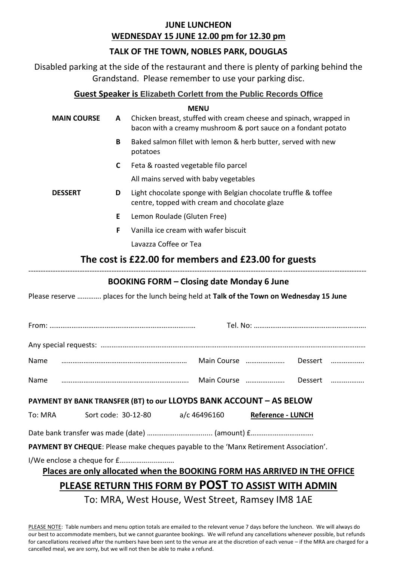#### **JUNE LUNCHEON WEDNESDAY 15 JUNE 12.00 pm for 12.30 pm**

### **TALK OF THE TOWN, NOBLES PARK, DOUGLAS**

Disabled parking at the side of the restaurant and there is plenty of parking behind the Grandstand. Please remember to use your parking disc.

#### **Guest Speaker is Elizabeth Corlett from the Public Records Office**

|                    |             | <b>MENU</b>                                                                                                                                                                                                                                                                                                                                         |
|--------------------|-------------|-----------------------------------------------------------------------------------------------------------------------------------------------------------------------------------------------------------------------------------------------------------------------------------------------------------------------------------------------------|
| <b>MAIN COURSE</b> | A           | Chicken breast, stuffed with cream cheese and spinach, wrapped in<br>bacon with a creamy mushroom & port sauce on a fondant potato                                                                                                                                                                                                                  |
|                    | B           | Baked salmon fillet with lemon & herb butter, served with new<br>potatoes                                                                                                                                                                                                                                                                           |
|                    | $\mathbf c$ | Feta & roasted vegetable filo parcel                                                                                                                                                                                                                                                                                                                |
|                    |             | All mains served with baby vegetables                                                                                                                                                                                                                                                                                                               |
| <b>DESSERT</b>     | D           | Light chocolate sponge with Belgian chocolate truffle & toffee<br>centre, topped with cream and chocolate glaze                                                                                                                                                                                                                                     |
|                    | E.          | Lemon Roulade (Gluten Free)                                                                                                                                                                                                                                                                                                                         |
|                    | F           | Vanilla ice cream with wafer biscuit                                                                                                                                                                                                                                                                                                                |
|                    |             | Lavazza Coffee or Tea                                                                                                                                                                                                                                                                                                                               |
|                    |             | The cost is £22.00 for members and £23.00 for guests                                                                                                                                                                                                                                                                                                |
|                    |             |                                                                                                                                                                                                                                                                                                                                                     |
|                    |             | <b>BOOKING FORM - Closing date Monday 6 June</b>                                                                                                                                                                                                                                                                                                    |
|                    |             | Please reserve  places for the lunch being held at Talk of the Town on Wednesday 15 June                                                                                                                                                                                                                                                            |
|                    |             |                                                                                                                                                                                                                                                                                                                                                     |
|                    |             |                                                                                                                                                                                                                                                                                                                                                     |
| Name               |             | Dessert                                                                                                                                                                                                                                                                                                                                             |
| Name               |             | Main Course<br>Dessert                                                                                                                                                                                                                                                                                                                              |
|                    |             | PAYMENT BY BANK TRANSFER (BT) to our LLOYDS BANK ACCOUNT - AS BELOW                                                                                                                                                                                                                                                                                 |
| To: MRA            |             | Sort code: 30-12-80<br>a/c 46496160<br>Reference - LUNCH                                                                                                                                                                                                                                                                                            |
|                    |             |                                                                                                                                                                                                                                                                                                                                                     |
|                    |             | PAYMENT BY CHEQUE: Please make cheques payable to the 'Manx Retirement Association'.                                                                                                                                                                                                                                                                |
|                    |             |                                                                                                                                                                                                                                                                                                                                                     |
|                    |             | Places are only allocated when the BOOKING FORM HAS ARRIVED IN THE OFFICE                                                                                                                                                                                                                                                                           |
|                    |             | PLEASE RETURN THIS FORM BY POST TO ASSIST WITH ADMIN                                                                                                                                                                                                                                                                                                |
|                    |             | $\overline{1}$ , $\overline{1}$ , $\overline{1}$ , $\overline{1}$ , $\overline{1}$ , $\overline{1}$ , $\overline{1}$ , $\overline{1}$ , $\overline{1}$ , $\overline{1}$ , $\overline{1}$ , $\overline{1}$ , $\overline{1}$ , $\overline{1}$ , $\overline{1}$ , $\overline{1}$ , $\overline{1}$ , $\overline{1}$ , $\overline{1}$ , $\overline{1}$ , |

To: MRA, West House, West Street, Ramsey IM8 1AE

PLEASE NOTE: Table numbers and menu option totals are emailed to the relevant venue 7 days before the luncheon. We will always do our best to accommodate members, but we cannot guarantee bookings. We will refund any cancellations whenever possible, but refunds for cancellations received after the numbers have been sent to the venue are at the discretion of each venue – if the MRA are charged for a cancelled meal, we are sorry, but we will not then be able to make a refund.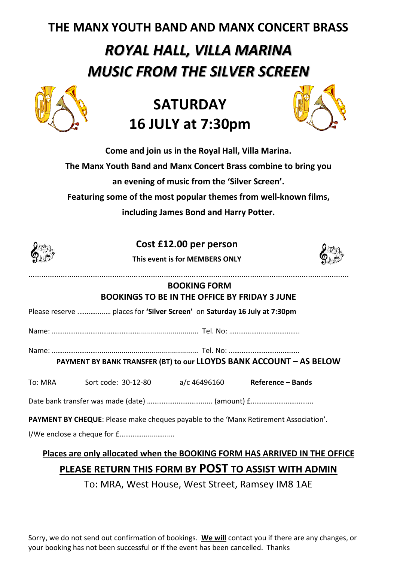## **THE MANX YOUTH BAND AND MANX CONCERT BRASS**

# *ROYAL HALL, VILLA MARINA MUSIC FROM THE SILVER SCREEN*



## **SATURDAY 16 JULY at 7:30pm**



**Come and join us in the Royal Hall, Villa Marina. The Manx Youth Band and Manx Concert Brass combine to bring you an evening of music from the 'Silver Screen'. Featuring some of the most popular themes from well-known films, including James Bond and Harry Potter.**

|                                                                             |                                                                                      | Cost £12.00 per person<br>This event is for MEMBERS ONLY |                          |  |  |  |
|-----------------------------------------------------------------------------|--------------------------------------------------------------------------------------|----------------------------------------------------------|--------------------------|--|--|--|
| <b>BOOKING FORM</b><br><b>BOOKINGS TO BE IN THE OFFICE BY FRIDAY 3 JUNE</b> |                                                                                      |                                                          |                          |  |  |  |
| Please reserve  places for 'Silver Screen' on Saturday 16 July at 7:30pm    |                                                                                      |                                                          |                          |  |  |  |
|                                                                             |                                                                                      |                                                          |                          |  |  |  |
| PAYMENT BY BANK TRANSFER (BT) to our LLOYDS BANK ACCOUNT - AS BELOW         |                                                                                      |                                                          |                          |  |  |  |
|                                                                             |                                                                                      |                                                          | <b>Reference - Bands</b> |  |  |  |
| Date bank transfer was made (date)  (amount) f                              |                                                                                      |                                                          |                          |  |  |  |
|                                                                             | PAYMENT BY CHEQUE: Please make cheques payable to the 'Manx Retirement Association'. |                                                          |                          |  |  |  |

### **Places are only allocated when the BOOKING FORM HAS ARRIVED IN THE OFFICE PLEASE RETURN THIS FORM BY POST TO ASSIST WITH ADMIN**

To: MRA, West House, West Street, Ramsey IM8 1AE

Sorry, we do not send out confirmation of bookings. **We will** contact you if there are any changes, or your booking has not been successful or if the event has been cancelled. Thanks